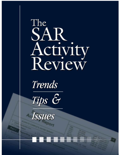# The SAR Activity





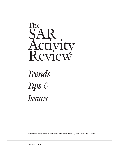

Trends

Tips &

Issues

Published under the auspices of the Bank Secrecy Act Advisory Group

October 2000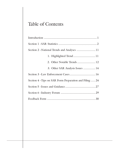## Table of Contents

| Section 2 – National Trends and Analyses  11            |
|---------------------------------------------------------|
| 1. Highlighted Trend  11                                |
| 2. Other Notable Trends  12                             |
| 3. Other SAR Analysis Issues  14                        |
|                                                         |
| Section 4 - Tips on SAR Form Preparation and Filing  24 |
|                                                         |
|                                                         |
|                                                         |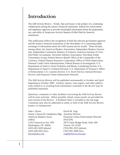## Introduction

The *SAR Activity Review—Trends, Tips and Issues* is the product of a continuing collaboration among the nation's financial institutions, federal law enforcement, and regulatory agencies to provide meaningful information about the preparation, use, and utility of Suspicious Activity Reports (SARs) filed by financial institutions.

This publication reflects the recognition of both the relevant government agencies and the nation's financial institutions of the desirability of a continuing public exchange of information about the SAR System and its results. These include, among others, the American Bankers Association; Independent Bankers Association; Independent Community Bankers of America; American Institute of Certified Public Accountants; Securities Industry Association; Non-Bank Funds Transmitters Group; Federal Reserve Board; Office of the Comptroller of the Currency; Federal Deposit Insurance Corporation; Office of Thrift Supervision; National Credit Union Administration; Federal Bureau of Investigation; U.S. Department of Justice's Asset Forfeiture and Money Laundering Section; U.S. Department of Justice's Criminal Division; U.S. Department of Treasury's Office of Enforcement; U.S. Customs Service; U.S. Secret Service; Internal Revenue Service; and Financial Crimes Enforcement Network.

The *SAR Activity Review* will be published semiannually in October and April, beginning in October 2000. Analytic reports, issue papers, and other publications related to or resulting from information contained in the *Review* may be published separately.

Questions, comments or other feedback concerning the *SAR Activity Review* will be most welcome. Where possible, Email contact points are provided for each section of the *Review*. A feedback sheet is included as the last page. Comments may also be addressed to either or both of the *SAR Activity Review* project co-chairpersons:

| John J. Byrne                                       | David M. Vogt                               |
|-----------------------------------------------------|---------------------------------------------|
| Senior Counsel & Compliance Mgr. Assistant Director |                                             |
| American Bankers Assoc.                             | <b>Financial Crimes Enforcement Network</b> |
| (ABA)                                               | (FinCEN)                                    |
| 1120 Connecticut Ave. NW                            | 2070 Chain Bridge Road, Suite 200           |
| Washington, DC 20036                                | Vienna, VA 22182                            |
| $(202)$ 663-5029 (phone)                            | $(703)$ 905-3525 (phone)                    |
| $(202)$ 828-5052 (fax)                              | $(703)$ 905-3698 (fax)                      |
| jbyrne@aba.com                                      | vogtd@fincen.treas.gov                      |
|                                                     |                                             |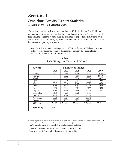### Section 1 Suspicious Activity Report Statistics<sup>1</sup> 1 April 1996 - 31 August 2000

The statistics on the following pages relate to SARs filed since April 1996 by depository institutions (i.e., banks, thrifts, and credit unions). A small part of the total volume relates to reports filed by affiliates of depository institutions or, in some cases, filed voluntarily by brokers and dealers in securities, money services businesses, or gaming businesses.

 **Note:** SAR data is continuously updated as additional forms are filed and processed. For this reason, there may be minor discrepancies between the statistical figures contained in various portions of this report.

| <b>Month</b>         |         |        | <b>Number of Filings</b> |         |             |
|----------------------|---------|--------|--------------------------|---------|-------------|
|                      | 1996    | 1997   | 1998                     | 1999    | 2000        |
| January              | 261     | 5794   | 7600                     | 8621    | 10789       |
| February             |         | 5522   | 7107                     | 9950    | 9910        |
| March                |         | 6967   | 8718                     | 10986   | 14923       |
| April                | 2022    | 7628   | 8293                     | 9759    | 11928       |
| May                  | 3315    | 6814   | 7646                     | 10625   | 13364       |
| June                 | 5756    | 6414   | 8163                     | 10715   | 13908       |
| July                 | 6882    | 6844   | 9061                     | 8759    | 12031       |
| August               | 6785    | 6930   | 7696                     | 10014   | 13500       |
| September            | 6139    | 7221   | 8625                     | 8735    |             |
| October              | 7269    | 7486   | 8223                     | 10049   |             |
| November             | 5060    | 6384   | 7577                     | 10540   |             |
| December             | 6297    | 7593   | 8223                     | 11753   |             |
| <b>Subtotal</b>      | 49,786  | 81,597 | 96,932                   | 120,506 | $100,353^3$ |
| <b>Total Filings</b> | 449,177 |        |                          |         |             |

|                                              | Chart 1 |  |
|----------------------------------------------|---------|--|
| $SAR$ Filings by Year <sup>2</sup> and Month |         |  |

<sup>1</sup> Statistics generated for this study were based on the Record Control Number of each record within the SAR system. Numeric discrepancies between total number of filings and the combined number of filings of States and/or territories is a result of multiple filers listed on one or more SARs.

2 SARs were erroneously filed for the years 1937 (1); 1988 (1); and 1994 (1).

<sup>3</sup> Represents those SARs currently in the system as of 31 August 2000.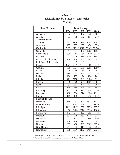| <b>State/Territory</b> |                  | <b>Total Filings</b> |                  |                |                   |  |
|------------------------|------------------|----------------------|------------------|----------------|-------------------|--|
|                        | 1996             | 1997                 | 1998             | 1999           | 2000 <sup>5</sup> |  |
| Alabama                | 352              | 451                  | 407              | 528            | 407               |  |
| Alaska                 | 63               | 59                   | 132              | 157            | 240               |  |
| American Samoa         | $\overline{2}$   |                      | $\overline{7}$   | $\overline{2}$ | 8                 |  |
| Arizona                | 1817             | 3100                 | 2428             | 2505           | 2494              |  |
| Arkansas               | 197              | 335                  | 298              | 430            | 325               |  |
| California             | 12217            | 18151                | 23370            | 25042          | 27354             |  |
| Colorado               | 844              | 1081                 | 1480             | 1702           | 1155              |  |
| Connecticut            | 398              | 785                  | 950              | 4449           | 3228              |  |
| Delaware               | 1097             | 1426                 | 1664             | 2006           | 1888              |  |
| District of Columbia   | 166              | 234                  | 281              | 285            | 292               |  |
| Fed. States Micronesia | 1                | 3                    | 3                | 1              |                   |  |
| Florida                | 3971             | 6637                 | 7131             | 7969           | 6642              |  |
| Georgia                | 869              | 1504                 | 1688             | 2205           | 1799              |  |
| Guam                   | 25               | 80                   | 56               | 84             | 55                |  |
| Hawaii                 | 390              | 535                  | 553              | 575            | 475               |  |
| Idaho                  | 106              | 155                  | 124              | 186            | 262               |  |
| Illinois               | 1471             | 2768                 | 2899             | 3866           | 3112              |  |
| Indiana                | 556              | 769                  | 969              | 1186           | 881               |  |
| Iowa                   | $\overline{251}$ | 363                  | 326              | 427            | 288               |  |
| Kansas                 | 254              | 284                  | $\overline{363}$ | 555            | $\overline{305}$  |  |
| Kentucky               | 262              | 388                  | 426              | 754            | 516               |  |
| Louisiana              | 480              | 594                  | 714              | 926            | 1311              |  |
| Maine                  | 115              | 186                  | 194              | 213            | 147               |  |
| Marshall Islands       |                  |                      |                  | 1              |                   |  |
| Maryland               | 615              | 937                  | 1201             | 1537           | 1371              |  |
| Massachusetts          | 857              | 1402                 | 1848             | 213            | 1929              |  |
| Michigan               | 1119             | 1717                 | 1858             | 2753           | 2377              |  |
| Minnesota              | 950              | 2263                 | 2212             | 2513           | 1866              |  |
| Mississippi            | 152              | $\overline{251}$     | 222              | 283            | $\overline{343}$  |  |
| Missouri               | 604              | 960                  | 1153             | 1215           | 922               |  |
| Montana                | 71               | 107                  | 101              | 156            | 130               |  |
| Nebraska               | 178              | 248                  | 316              | 371            | 391               |  |
| Nevada                 | 662              | 1488                 | 2009             | 2062           | 2135              |  |
| New Hampshire          | 244              | 503                  | 419              | 573            | 255               |  |
| New Jersey             | 888              | 1536                 | 2437             | 3450           | 2536              |  |

Chart 2 SAR Filings<sup>4</sup> by States & Territories (Matrix)

<sup>4</sup> SARs were erroneously filed for the years 1937 (1-GA); 1988 (1); and 1994 (1-CA).

<sup>5</sup> Represents those SARs currently in the system as of 31 August 2000.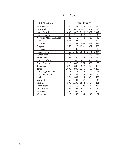| <b>State/Territory</b>     | <b>Total Filings</b> |                   |       |                |                  |
|----------------------------|----------------------|-------------------|-------|----------------|------------------|
| New Mexico                 | 220                  | 237               | 286   | 314            | 247              |
| New York                   | 5259                 | 9679              | 13441 | 17931          | 11710            |
| North Carolina             | 893                  | 1625              | 2119  | 2392           | 2042             |
| North Dakota               | 42                   | 215               | 213   | 122            | 148              |
| Northern Mariana Islands   | 22                   | 5                 | 13    | 33             | 42               |
| Ohio                       | 903                  | 1721              | 2230  | 2297           | 1897             |
| Oklahoma                   | 379                  | 497               | 506   | 698            | 525              |
| Oregon                     | 555                  | $\overline{1}129$ | 1201  | 1807           | $\frac{1}{1699}$ |
| Overseas                   | 12                   | 39                | 7     | $\overline{2}$ | 19               |
| Pennsylvania               | 1452                 | 2482              | 2544  | 3571           | 2244             |
| Puerto Rico                | 146                  | 562               | 456   | 316            | 714              |
| Rhode Island               | 155                  | 290               | 285   | 503            | 314              |
| South Carolina             | 279                  | 563               | 640   | 669            | 473              |
| South Dakota               | 316                  | 430               | 574   | 675            | 163              |
| Tennessee                  | 525                  | 802               | 922   | 998            | 973              |
| Texas                      | 3805                 | 4906              | 6231  | 7606           | 6286             |
| <b>U.S. Virgin Islands</b> | 3                    | 8                 | 12    | 14             | 15               |
| Unknown/Blank              | 318                  | 205               | 28    | 26             | 17               |
| Utah                       | 374                  | 882               | 1114  | 1384           | 1476             |
| Vermont                    | 55                   | 91                | 68    | 58             | 44               |
| Virginia                   | 598                  | 1206              | 1564  | 1537           | 1221             |
| Washington                 | 753                  | 1766              | 2192  | 3147           | 2334             |
| West Virginia              | 109                  | 151               | 680   | 737            | 137              |
| Wisconsin                  | 360                  | 552               | 677   | 755            | 614              |
| Wyoming                    | 26                   | 43                | 54    | 40             | 37               |

Chart 2 (cont.)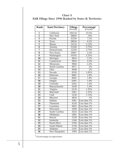| <b>Rank</b>             | <b>State/Territory</b> | <b>Filings</b><br>(Overall) | $\begin{array}{c} \textbf{Percentage}^6 \\ \textbf{(Overall)} \end{array}$ |
|-------------------------|------------------------|-----------------------------|----------------------------------------------------------------------------|
| $\mathbf{1}$            | California             | 106134                      | 23.5%                                                                      |
| $\overline{2}$          | New York               | 58020                       | 13%                                                                        |
| $\overline{3}$          | Florida                | 32350                       | 7.2%                                                                       |
| $\overline{\bf 4}$      | Texas                  | 28834                       | 6.5%                                                                       |
| $\overline{\mathbf{5}}$ | <b>Illinois</b>        | 14116                       | 3.15%                                                                      |
| $\overline{6}$          | Arizona                | 12344                       | 2.75%                                                                      |
| 7                       | Pennsylvania           | 12293                       | 2.75%                                                                      |
| $\overline{\mathbf{8}}$ | New Jersey             | 10847                       | 2.4%                                                                       |
| $\overline{9}$          | Washington             | 10192                       | 2.25%                                                                      |
| 10                      | Michigan               | 9824                        | 2.2%                                                                       |
| $\overline{11}$         | Connecticut            | 9810                        | 2.2%                                                                       |
| 12                      | Minnesota              | 9804                        | 2.2%                                                                       |
| $\overline{13}$         | North Carolina         | 9071                        | 2%                                                                         |
| $\overline{14}$         | Ohio                   | 9048                        | 2%                                                                         |
| $\overline{15}$         | Nevada                 | 8356                        | 1.85%                                                                      |
| $\overline{16}$         | Delaware               | 8081                        | 1.8%                                                                       |
| $\overline{17}$         | Georgia                | 8065                        | 1.8%                                                                       |
| $\overline{18}$         | Oregon                 | 6391                        | 1.4%                                                                       |
| $\overline{19}$         | Colorado               | 6262                        | 1.4%                                                                       |
| $\overline{20}$         | Massachusetts          | 6249                        | 1.4%                                                                       |
| $\overline{21}$         | Virginia               | 6126                        | 1.35%                                                                      |
| $\overline{22}$         | Maryland               | 5661                        | 1.25%                                                                      |
| $\overline{23}$         | Utah                   | 5230                        | 1.15%                                                                      |
| $\overline{24}$         | Missouri               | 4854                        | $\overline{1\%}$                                                           |
| $\overline{25}$         | Indiana                | 4361                        | Less than 1%                                                               |
| $\overline{26}$         | Tennessee              | 4220                        | Less than 1%                                                               |
| $\overline{27}$         | Louisiana              | 4025                        | Less than 1%                                                               |
| $\overline{28}$         | Wisconsin              | 2958                        | Less than 1%                                                               |
| <u>29</u>               | South Carolina         | 2624                        | Less than 1%                                                               |
| $\overline{30}$         | Oklahoma               | 2605                        | Less than 1%                                                               |
| $\overline{31}$         | Hawaii                 | 2528                        | Less than 1%                                                               |
| 32                      | Kentucky               | 2346                        | Less than 1%                                                               |
| $\overline{33}$         | <b>Puerto Rico</b>     | 2194                        | Less than 1%                                                               |
| $\overline{34}$         | <b>South Dakota</b>    | 2158                        | Less than 1%                                                               |
| $\overline{35}$         | Alabama                | 2145                        | Less than 1%                                                               |
| 36                      | New Hampshire          | 1994                        | Less than 1%                                                               |

Chart 3 SAR Filings Since 1996 Ranked by States & Territories

<sup>6</sup> All percentages are approximate.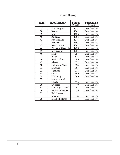| <b>Rank</b>     | <b>State/Territory</b> | <b>Filings</b><br>(Overall) | <b>Percentage</b><br>(Overall) |
|-----------------|------------------------|-----------------------------|--------------------------------|
| 37              | West Virginia          | 1814                        | Less than 1%                   |
| 38              | Kansas                 | 1761                        | Less than 1%                   |
| 39              | Iowa                   | 1655                        | Less than 1%                   |
| 40              | <b>Arkansas</b>        | 1585                        | Less than 1%                   |
| 41              | Rhode Island           | 1547                        | Less than 1%                   |
| 42              | Nebraska               | 1504                        | Less than 1%                   |
| 43              | New Mexico             | 1304                        | Less than 1%                   |
| $\overline{44}$ | District of Columbia   | 1258                        | Less than 1%                   |
| 45              | Mississippi            | 1251                        | Less than 1%                   |
| 46              | Maine                  | 855                         | Less than 1%                   |
| 47              | Idaho                  | 833                         | Less than 1%                   |
| 48              | North Dakota           | 740                         | Less than 1%                   |
| 49              | Alaska                 | 651                         | Less than 1%                   |
| 50              | Unknown/Blank          | 594                         | Less than 1%                   |
| 51              | Montana                | 565                         | Less than 1%                   |
| 52              | Vermont                | 316                         | Less than 1%                   |
| 53              | Guam                   | 300                         | Less than 1%                   |
| 54              | Wyoming                | 200                         | Less than 1%                   |
| 55              | Northern Mariana       |                             |                                |
|                 | <b>Islands</b>         | 115                         | Less than 1%                   |
| $\overline{56}$ | Overseas               | 79                          | Less than $1\%$                |
| 57              | U.S. Virgin Islands    | 52                          | Less than 1%                   |
| 58              | American Samoa         | 19                          | Less than 1%                   |
| 59              | Fed. States of         |                             |                                |
|                 | Micronesia             | 8                           | Less than 1%                   |
| $\overline{60}$ | Marshall Islands       | 1                           | Less than 1%                   |

Chart 3 (cont.)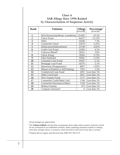#### Chart 4 SAR Filings Since 1996 Ranked by Characterization of Suspicious Activity

| <b>Rank</b>             | <b>Violation</b>                        | <b>Filings</b><br>(Overall) | Percentage <sup>7</sup><br>(Overall) |
|-------------------------|-----------------------------------------|-----------------------------|--------------------------------------|
| $\mathbf{1}$            | <b>BSA/Structuring/Money Laundering</b> | 221402                      | 45.3%                                |
| $\overline{2}$          | <b>Check Fraud</b>                      | 64237                       | 13.15%                               |
| 3                       | Other                                   | 35646                       | 7.3%                                 |
| $\overline{\mathbf{4}}$ | <b>Counterfeit Check</b>                | 25670                       | 5.25%                                |
| 5                       | Defalcation/Embezzlement                | 22700                       | 4.65%                                |
| 6                       | Credit Card Fraud                       | 21856                       | 4.5%                                 |
| 7                       | Unknown/Blank <sup>8</sup>              | 18561                       | 3.8%                                 |
| 8                       | <b>Check Kiting</b>                     | 18392                       | 3.75%                                |
| 9                       | <b>False Statement</b>                  | 10441                       | 2.15%                                |
| 10                      | <b>Consumer Loan Fraud</b>              | 10347                       | 2.1%                                 |
| 11                      | Mortgage Loan Fraud                     | 10276                       | 2.1%                                 |
| 12                      | <b>Mysterious Disappearance</b>         | 8097                        | 1.65%                                |
| 13                      | Misuse of Position or Self Dealing      | 7455                        | 1.5%                                 |
| 14                      | <b>Commercial Loan Fraud</b>            | 4301                        | Less than 1%                         |
| 15                      | Debit Card Fraud                        | 3021                        | Less than 1%                         |
| 16                      | <b>Wire Transfer Fraud</b>              | 2737                        | Less than 1%                         |
| 17                      | Counterfeit Credit/Debit Card           | 1746                        | Less than 1%                         |
| 18                      | Counterfeit Instrument (Other)          | 1326                        | Less than 1%                         |
| 19                      | Bribery/Gratuity                        | 473                         | Less than 1%                         |
| 20                      | Computer Intrusion <sup>9</sup>         | 9                           | Less than 1%                         |

All percentages are approximate.

- The **Unknown/Blank** classification encompasses those alpha and/or numeric characters which do not correspond to an established violation, fields containing unrelated symbols or nothing more than carriage returns, or instances where the field is null (void of any data or action).
- Violation did not appear until Revised June 2000 TD F 90-22.47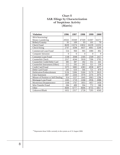#### Chart 5 SAR Filings by Characterization of Suspicious Activity (Matrix)

| <b>Violation</b>                   | 1996  | 1997     | 1998     | 1999     | $2000^{10}$ |
|------------------------------------|-------|----------|----------|----------|-------------|
| BSA/Structuring/                   |       |          |          |          |             |
| Money Laundering                   | 20565 | 35949    | 47509    | 61007    | 56371       |
| Bribery/Gratuity                   | 91    | 109      | 93       | 101      | 79          |
| <b>Check Fraud</b>                 | 8639  | 13274    | 13832    | 16239    | 12253       |
| <b>Check Kiting</b>                | 2747  | 4298     | 4037     | 4061     | 3249        |
| <b>Commercial Loan Fraud</b>       | 554   | 960      | 905      | 1080     | 802         |
| <b>Computer Intrusion</b>          | 0     | $\Omega$ | $\Omega$ | $\Omega$ | 9           |
| <b>Consumer Loan Fraud</b>         | 1148  | 2048     | 2185     | 2549     | 2417        |
| <b>Counterfeit Check</b>           | 2317  | 4244     | 5918     | 7396     | 5795        |
| Counterfeit Credit/Debit Card      | 385   | 387      | 182      | 351      | 441         |
| Counterfeit Instrument (Other)     | 212   | 292      | 265      | 321      | 236         |
| Credit Card Fraud                  | 3375  | 5083     | 4383     | 4938     | 4077        |
| Debit Card Fraud                   | 245   | 610      | 566      | 721      | 879         |
| Defalcation/Embezzlement           | 3136  | 5306     | 5260     | 5179     | 3819        |
| <b>False Statement</b>             | 1807  | 2204     | 1978     | 2376     | 2076        |
| Misuse of Position or Self Dealing | 914   | 1537     | 1645     | 2063     | 1296        |
| Mortgage Loan Fraud                | 1265  | 1719     | 2268     | 2936     | 2088        |
| <b>Mysterious Disappearance</b>    | 1168  | 1767     | 1855     | 1857     | 1450        |
| Wire Transfer Fraud                | 284   | 499      | 594      | 772      | 588         |
| Other                              | 4600  | 6777     | 8696     | 8755     | 6817        |
| Unknown/Blank                      | 1652  | 2317     | 2728     | 7295     | 4569        |

 $^{10}$  Represents those SARs currently in the system as of 31 August 2000.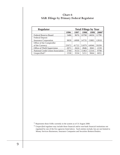Chart 6 SAR Filings by Primary Federal Regulator

| <b>Regulator</b>                    | <b>Total Filings by Year</b> |       |       |       |             |
|-------------------------------------|------------------------------|-------|-------|-------|-------------|
|                                     | 1996                         | 1997  | 1998  | 1999  | $2000^{11}$ |
| <b>Federal Reserve Board</b>        | 5486                         | 9676  | 10798 | 14656 | 11790       |
| <b>Federal Deposit</b>              |                              |       |       |       |             |
| <b>Insurance Corporation</b>        | 9839                         | 14908 | 14735 | 15883 | 12818       |
| Office of the Comptroller           |                              |       |       |       |             |
| of the Currency                     | 25072                        | 41722 | 51879 | 64946 | 59299       |
| <b>Office of Thrift Supervision</b> | 2071                         | 2624  | 2846  | 3041  | 2159        |
| National Credit Union Association   | 5760                         | 9133  | 11463 | 12316 | 9798        |
| Unspecified <sup>12</sup>           | 1558                         | 3534  | 5211  | 9664  | 6031        |

 $11$  Represents those SARs currently in the system as of 31 August 2000.

<sup>12</sup> *Unspecified* regulator may include those financial and/or non-bank financial institutions not regulated by one of the five agencies listed above. Such entities include, but are not limited to Money Services Businesses, Insurance Companies and Securities Brokers/Dealers.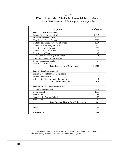| Chart 7                                                |
|--------------------------------------------------------|
| Direct Referrals of SARs by Financial Institutions     |
| to Law Enforcement <sup>13</sup> & Regulatory Agencies |

| <b>Agency</b>                                  | <b>Referrals</b> |
|------------------------------------------------|------------------|
| <b>Federal Law Enforcement</b>                 |                  |
| Federal Bureau of Investigation                | 10849            |
| <b>Internal Revenue Service</b>                | 6937             |
| <b>United States Secret Service</b>            | 3522             |
| <b>United States Postal Inspection Service</b> | 1396             |
| United States Attorney's Office                | 167              |
| Department of the Treasury                     | 117              |
| <b>United States Customs Service</b>           | 98               |
| Department of State                            | 43               |
| Naval Criminal Investigative Service           | 18               |
| Drug Enforcement Administration                | 17               |
| <b>Detroit Computing Center</b>                | 14               |
| Department of Justice                          | 11               |
| <b>Total Federal Law Enforcement</b>           | 23,189           |
|                                                |                  |
| <b>Federal Regulatory Agencies</b>             |                  |
| Federal Deposit Insurance Corporation          | 44               |
| <b>Federal Reserve Board</b>                   | 32               |
| Office of the Comptroller of the Currency      | $\overline{30}$  |
| <b>Total Regulatory Agencies</b>               | 106              |
|                                                |                  |
| <b>State and Local Law Enforcement</b>         |                  |
| <b>City Police Department</b>                  | 9424             |
| County/Parish                                  | 1391             |
| <b>State Police</b>                            | 598              |
| <b>State/District Attorney's Office</b>        | $\overline{207}$ |
| State (Other)                                  | 41               |
| <b>Total State and Local Law Enforcement</b>   | 11,661           |
|                                                |                  |
| <b>Other</b>                                   | 594              |
| <b>Unspecified</b>                             | 486              |

<sup>13</sup> Figures reflect those entities receiving ten (10) or more SAR referrals. Some SARs may reference making referrals to multiple law enforcement agencies.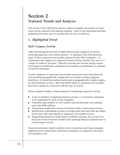## Section 2 National Trends and Analyses

This section of the *SAR Activity Review* outlines examples and patterns of suspicious activity reported in the national database. Some of the information has been published previously, but it is included here for ease of reference.

#### 1. Highlighted Trend

#### Shell Company Activi*ty*

SARs filed during the first half of 2000 reflect several complexes of activity involving suspicious wire transfer patterns. As reported in the SAR narratives, many of these suspicious wire transfer patterns involve shell companies—*i.e.*, corporations that engage in no apparent business activity and that only serve as a conduit for funds or securities. Often the activities also involve foreign transactors located in jurisdictions considered non-compliant or problematic, as reported in FinCEN Advisories.

Several complexes of suspicious wire transfer transactions have been observed, each involving geographically complicated wire transfer routing (originator, beneficiary, or transit/intermediary banks) and/or geographically complex originator and beneficiary activity. More than \$500 million in suspicious wire transfers have been reported in connection with this type of activity.

These complexes display common patterns of underlying suspicious activity:

- A lack of evidence of legitimate business activity, or any business operations at all, undertaken by many of the companies;
- Unusually large numbers of wire transfers (several thousand wires totaling  $\mathbf{r}$ more than \$500 million);
- Transactions conducted in bursts of activities within a short period of time;  $\blacksquare$  .
- Beneficiaries maintaining accounts at foreign banks that have been the subject  $\mathcal{L}_{\mathcal{A}}$ of previous SAR reporting due to suspicious wire transfer activity;
- $\mathcal{L}_{\mathrm{max}}$ Reappearing beneficiary banks based in offshore locations, the account of at least one of which has been closed by the reporting financial institution due to overall suspect activity.

Financial institutions should carefully review transactions involving companies registered in the United States when those companies are unknown to the financial institution, *and:*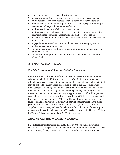- represent themselves as financial institutions, *or*  $\mathcal{L}_{\mathcal{A}}$
- $\blacksquare$ appear as groupings of companies tied to the same set of transactors, *or*
- $\mathcal{L}_{\mathcal{A}}$ are co-located at the same address or have a common resident agent, *or*
- $\mathcal{L}_{\mathcal{A}}$ are involved in unduly complex patterns of transactions, especially multiple transactors and large volume wire transfers, *or*
- $\blacksquare$ are involved in patterns of circular transactions, *or*
- m. are involved in transactions originating in or destined for non-compliant or other problematic jurisdictions identified in FinCEN Advisories, *or*
- $\mathcal{L}_{\mathcal{A}}$ appear in association with transactions conducted in bursts and even currency amounts, *or*
- $\mathcal{L}_{\mathcal{A}}$ engage in transactions inconsistent with the stated business purpose, *or*
- are bearer share corporations, *or*
- $\blacksquare$ cannot be identified as legitimate companies through normal business verification checks, *or*
- $\Box$ cannot or will not provide adequate information about business activities when asked.

#### 2. Other Notable Trends

#### Possible Reflections of Russian Criminal Activity

Law enforcement information indicates a steady increase in Russian organized criminal activity in the U.S. since the early 1990s. Senior law enforcement officials requested assistance in understanding the scope of financial activity that may be linked to Russian Organized Crime groups in the U.S. An analysis of Bank Secrecy Act (BSA) data indicates that SARs filed by U.S. financial institutions for suspected structuring/money laundering activity involving Russian transactors, owners or citizenship averages approximately \$200 million per year. A correlation of SARs, Currency Transaction Reports (CTRs) and Currency and Monetary Instrument Reports (CMIRs) for Russian transactions indicates some level of financial activity in 45 states, with heavier concentrations in the metropolitan areas of New York, Boston, Washington D.C., Chicago, Miami, Los Angeles, San Francisco, and Seattle. There are also indications of unusual patterns of suspicious financial activity in Texas (i.e., San Antonio, Houston, Dallas/ Ft. Worth, El Paso, and along the U.S.-Mexico border).

#### Increased SAR Reporting Involving Mexico

Law enforcement information and SARs filed by U.S. financial institutions confirm a shift in suspected money laundering activity involving Mexico. Rather than transiting through Mexico *en route* to Colombia or other Central and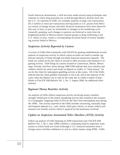South American destinations, a shift has been made toward using techniques and schemes in which drug proceeds are cycled through Mexico directly back into the U.S. As reported in SARs, for example, patterns of large wire transactions (\$1.5 million or more per transaction) moving funds to U.S. payees from Mexican money exchange houses and other financial institutions have been observed that may at least, in part, be attributable to changes in the laundering cycle. Generally speaking, such changes in patterns are believed to stem from the heightened profile of Mexico-based criminal groups in drug trafficking in the U.S. which, in turn, creates a corresponding increased threat of money laundering activity linked to Mexico.

#### Suspicious Activity Reported by Casinos

A review of SARs filed voluntarily with FinCEN by gaming establishments reveals patterns of suspicious activity in which casino accounts are used to transfer significant amounts of funds through non-bank financial transaction channels. The funds are cashed out by the client or moved to other accounts with minimal or no gaming activity. SAR filings by casinos located in Connecticut, Illinois, Mississippi, Nevada, and New Jersey during 1998-1999 indicate that wire transfers and cashiers checks are used to put funds on deposit as credits, or "front money," for use by the client for subsequent gambling activity at the casino. All of the SARs indicate that the client gambles minimally or not at all, and in the majority of the cases, takes the balance out in cash on the same day or within a matter of days. (Refer to *FinCEN SAR Bulletin* Vol. 2, No. 1, August 2000, for additional information).

#### Regional Money Remitter Activity

An analysis of SARs reflects suspicious activity involving money remitters strongly reminiscent of the money laundering activity that resulted in the issuance of a Geographic Targeting Order (GTO) for the New York metropolitan area during the 1990s. The activity reported in the SARs includes structuring, unusually large and frequent deposits (i.e., cash, checks, third party checks, or money orders) and unusual wire transfer activity which is atypical for the businesses involved.

#### Update on Suspicious Automated Teller Machine (ATM) Activity

Follow-up analysis of SAR reporting on ATM transactions (see *FinCEN SAR Bulletin* Vol. 1, No.1, June 1999) confirms a continuing trend in suspicious transactions in which funds are wired to/through a U.S. financial institution from a foreign source and then withdrawn in cash in a third country using ATMs. SARs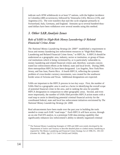indicate such ATM withdrawals in at least 57 nations, with the highest incidence in Colombia (408 occurrences), followed by Venezuela (145), Mexico (119), and Argentina (31). The wire transfers that start the cycle originate primarily in Switzerland, Italy, Germany, and England. Amounts up to several hundred thousand dollars have been withdrawn over several months using this method.

#### 3. Other SAR Analysis Issues

#### Role of SARS in High-Risk Money Laundering & Related Financial Crime Areas

*The National Money Laundering Strategy for 200014* established a requirement to focus anti-money laundering law enforcement resources in "High-Risk Money Laundering and Related Financial Crime Areas," or HIFCAs. A HIFCA should be understood as a geographic area, industry, sector or institution, or group of financial institutions which is being victimized by, or is particularly vulnerable to, money laundering and related financial crimes and, therefore, warrants concentrated law enforcement efforts at the federal, state and local levels. During 2000, three metropolitan HIFCAs have been designated: Los Angeles, New York/New Jersey, and San Juan, Puerto Rico. A fourth HIFCA, reflecting the systemic problem of cross-border currency movements, was created for the southwest border areas of Arizona and Texas. Additional designations are expected.

SARs are important to the HIFCA process in two key ways. First, the number of SARs filed in a geographic area is used as a factor in identifying the overall scope of potential financial crime in the area, and in ranking the area for possible HIFCA designation in comparison to other geographic areas. Second, and even more importantly, the number of SARs filed provides HIFCA action teams with a road map to assist in identifying potential criminal financial activity for the coordinated federal, state and local law enforcement initiatives envisioned by *The National Money Laundering Strategy for 2000.*

Real advancements have been made over the past year in building the tools needed to create such SAR "road maps." Each HIFCA will have access, through an on-site FinCEN analyst, to a prototype SAR data-mining capability that significantly enhances law enforcement's ability to identify organized criminal

<sup>14</sup> The National Money Laundering Strategies of 1999 and 2000 were jointly developed by the Departments of Justice and Treasury to describe detailed plans to combat money laundering as required by The Money Laundering and Financial Crimes Strategy Act of 1998, P.L. 105-310 (October 30, 1998). See 31 U.S. Code 5341(b) and 5342(b).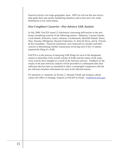financial activity over large geographic areas. HIFCAs will use this new tool to help guide their anti-money laundering initiatives and to beta test it for wider distribution to law enforcement.

#### Non-Compliant Countries—Post Advisory SAR Analysis

In July 2000, FinCEN issued 15 Advisories concerning deficiencies in the antimoney laundering controls of the following nations—Bahamas, Cayman Islands, Cook Islands, Dominica, Israel, Lebanon, Liechtenstein, Marshall Islands, Nauru, Niue, Panama, Philippines, Russian Federation, St. Kitts & Nevis, and St. Vincent & the Grenadines. Financial institutions were instructed to consider such deficiencies in determining whether transactions involving each of the 15 nations required the filing of a SAR.

FinCEN is in the process of analyzing SAR filings for each of the designated nations to determine if the overall volume of SARs and the nature of the suspicious activity have changed as a result of the Advisory process. Feedback on the results of the post-Advisory analysis will be provided at a subsequent date once sufficient data has been accumulated to allow a meaningful comparison with the pre-Advisory baseline information for each of the affected nations.

For questions or comments on Section 2, National Trends and Analyses, please contact the Office of Strategic Analysis at FinCEN by Email: ora@fincen.treas.gov.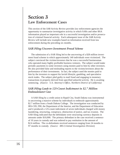## Section 3 Law Enforcement Cases

This section of the *SAR Activity Review* provides law enforcement agencies the opportunity to summarize investigative activity in which SARs and other BSA information played an important role in a successful investigation and/or prosecution of criminal financial activity. Each subsequent issue of the *SAR Activity Review* will include new examples based on information received from law enforcement during the preceding six months.

#### SAR Filing Uncovers Investment Fraud Scheme

 The submission of a SAR filing led to the uncovering of a \$28 million investment fraud scheme in which approximately 140 individuals were victimized. The subject convinced the victims/investors that he was a successful businessman who operated many highly profitable business ventures. The subject would make periodic payments to some investors using monies paid to him by other investors. He also provided false and misleading reports to the victims/investors about the performance of their investments. In fact, the subject used the monies paid to him by the investors to support his lavish lifestyle, gambling, and speculative stock trades. The subject pled guilty to mail fraud and engaging in monetary transactions in property derived from specified unlawful activity. He is awaiting sentencing. *(Source: U.S. Attorney's Office, Northern District of California)*

#### SAR Filing Leads to 125-Count Indictment in \$2.7 Million Embezzlement Case

 A SAR filing by a credit union in Rapid City, South Dakota was instrumental in uncovering a massive scheme by individuals to embezzle approximately \$2.7 million from a South Dakota College. The investigation was conducted by IRS-CID, FBI, the Department of the Interior, and the Department of Education and it produced a 125-count indictment of seven individuals charged with money laundering, structuring, conspiracy, obstruction of justice, and tax evasion. The SAR filing indicated that the defendants were structuring currency deposits in amounts under \$10,000. The primary defendant in the case received a sentence of 10 years in custody and was ordered to pay restitution in the amount of \$2.6 million. The co-defendants received sentences ranging from 24 months to 97 months in custody. (*Source: IRS-Criminal Investigation Division*)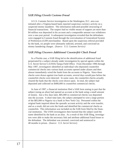#### SAR Filing Unveils Customs Fraud

 A U.S. Customs Service investigation in the Washington, D.C. area was initiated after a Virginia-based bank reported suspicious currency activity on a suspected money launderer. The information indicated possible structuring of financial transactions. The suspect had no visible means of support yet more than \$4 million was deposited in his account and a comparable amount was withdrawn over a one-year period. A subsequent investigation revealed that the defendants were engaged in Customs fraud through the overvaluation of Generalized System of Preferences (GSP) merchandise. Based upon the suspicious referral provided by the bank, six people were ultimately indicted, arrested, and convicted on money laundering charges. *(Source: U.S. Customs Service)*

#### SAR Filing Uncovers Additional Counterfeit Check Fraud

 In a Florida case, a SAR filing led to the identification of additional fraud perpetrated by a subject already under investigation by special agents within the U.S. Secret Service's (USSS) Tampa Field Office. From December 1996 through May 1997, investigators identified an individual who deposited counterfeit commercial checks into various bank accounts opened under aliases and then almost immediately wired the funds from the accounts to Nigeria. Since these checks were drawn against true bank accounts, several days would pass before the counterfeit checks were detected. In some cases, the counterfeit checks actually cleared the bank that the checks were drawn upon. In total, the subject had deposited and collected on \$400,000 in counterfeit commercial checks.

 In June of 1997, a financial institution filed a SAR form stating in part that the subject (using an alias) had opened an account at the bank using a small amount of money. Just a few days later, \$85,000 in commercial checks was deposited into the account. A short time later, the subject attempted to wire a large portion of the \$85,000 to Nigeria via a bank in New York City. Personnel within the original bank inquired about the sporadic account activity and the wire transfer, and as a result, did not wire the funds and identified the commercial checks as counterfeit. This information was included on the SAR form filed by the financial institution. The USSS investigators then learned that the subject used the name identified by the bank as an alias. As a result of this SAR filing, investigators were able to make the necessary link and attribute additional fraud losses to the defendant. The defendant was arrested, convicted and sentenced to 48 months in prison. *(Source: U.S. Secret Service)*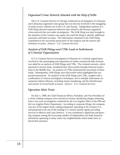#### Organized Crime Network Attacked with the Help of SARs

 The U.S. Customs Service in Chicago conducted an investigation of a Russian and Lithuanian organized crime group that was heavily involved in the smuggling of stolen luxury vehicles out of the U.S. into Europe. Independent analysis of a SAR filing showed suspicious behavior that related to the Russian organized crime network that was under investigation. The SAR filing was later brought to the attention of the Customs case agent who used the filing to identify additional associates and bank accounts. The information contained in the SAR filing contributed to the successful prosecution of the suspects and the seizure and forfeiture of assets. *(Source: U.S. Customs Service)*

#### Analysis of SAR Filings and CTRs Leads to Indictments of Criminal Organization

 A U.S. Customs Service investigation in Houston of a criminal organization involved in the repackaging and exportation of stolen commercial baby formula was aided by an analysis of SAR filings and CTRs. The criminal network, which operated in several states, laundered their illicit profits through financial institutions to the Middle East. An analysis of CTRs monitored the movement of these funds. Subsequently, SAR filings were discovered which highlighted the suspected transactions. An analysis of the SAR filings and CTRs, coupled with a combination of various investigative techniques, led to multiple indictments on numerous federal offenses, including money laundering, and the identification and seizure of several bank accounts. *(Source: U.S. Customs Service)*

#### Operation Mule Train

 On July 1, 1998, the Chief Financial Officer, President, and Vice-President of a check cashing company were arrested on money laundering charges stemming from a two-year investigation conducted by the Los Angeles office of the FBI and the Los Angeles Police Department. According to corporate filings, the company was one of the largest check cashing enterprises operating in the western U.S., and purported to be one of the leading U.S. money transfer agents providing services to Mexico and Latin America. It was considered a significant and growing company among the increasing number of independent non-bank financial institutions operating in many inner-city neighborhoods where banks have reduced their presence.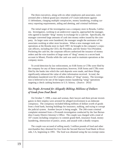The three executives, along with six other employees and associates, were arrested after a federal grand jury returned a 67-count indictment against 11 defendants, charging multiple conspiracies, money laundering, evading currency reporting requirements, aiding and abetting, and criminal forfeiture.

 The initial target of the investigation was a company store in Reseda, California. Investigators, working in an undercover capacity, approached the manager, who agreed to launder "drug" money in exchange for a cash fee. Specifically, the manager converted large amounts of cash into money orders issued by the company. As larger sums were laundered, the manager sought the assistance of his associates working at other store locations. When a new manager took over operations at the Reseda store in April 1997, he brought in the company's corporate officers, including the CEO, the President, and the Senior Vice-President. Pocketing the cash fee, the corporate officers authorized the issuance of money orders and the wire transfers of large sums of "drug" money to a secret bank account in Miami, Florida while the cash was used to maintain operations at the company stores.

 To avoid detection by law enforcement, no SAR forms or CTRs were filed by the company for any of these transactions; however, SAR forms and CTRs were filed by the banks into which the cash deposits were made, and these filings significantly enhanced the value of other information received. In total, the defendants laundered over \$3.2 million dollars of "drug" money. The investigation is believed to be one of the largest money laundering "sting" operations targeting a check cashing business in U.S. history. (*Source: DOJ)*

#### Six People Arrested for Allegedly Bilking Millions of Dollars of Goods from Food Bank

 On October 7, 1999, a man and woman, their lawyer and three private investigators in their employ were arrested for alleged involvement in an elaborate conspiracy. The conspiracy included bilking millions of dollars worth of goods from a food bank, burning buildings for insurance, stalking, and trying to corrupt the judicial system. Another lawyer is being sought. The 266-count criminal complaint stemmed from a 29-month investigation conducted by the San Bernardino County District Attorney's Office. The couple was charged with a total of 107 counts including conspiracy to commit grand theft, insurance fraud, money laundering, obstruction of justice, arson, and assault with a deadly weapon.

 The couple was accused of selling nearly 3 million pounds of food and other merchandise they obtained for free from the Second Harvest Food Bank in Riverside, CA, beginning in 1991. The food was obtained using the tax-exempt status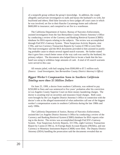of a nonprofit group without the group's knowledge. In addition, the couple allegedly used private investigators to stalk and harass the husband's ex-wife, her boyfriend and others; filed false lawsuits to force judges off court cases in which he was involved; set fire to their Rancho Cucamonga home and collected \$600,000 in insurance; and conspired to set fire to a warehouse.

 The California Department of Justice, Bureau of Narcotics Enforcement, assisted investigators from the San Bernardino County District Attorney's Office by conducting a review of the Currency and Banking Retrieval System (CBRS) database for BSA reports relating to the subjects. The review was accomplished through FinCEN's Gateway System. Three Suspicious Activity Reports, nine CTRs, and two Currency Transaction Reports by Casino (CTRCs) were filed. The lead investigator said the BSA documents provided to him assisted in justifying probable cause to obtain several signed search warrants. He further stated that it gave him a much better sense of the way cash was used by the husband, his primary subject. The documents also helped him to locate a bank that the husband was using to withdraw large amounts of cash. A total of 45 search warrants were served in this case.

 All remain jailed, with bail ranging from \$500,000 to \$7.5 million each. *(Source: Lead Investigator, San Bernardino County District Attorney's Office)*

#### Biggest Worker's Compensation Scam in Southern California Totaling more than \$3 Million Dollars

 On June 25, 1999, a doctor from southern California, was ordered to pay \$250,000 in fines and was sentenced to five years' probation after his conviction in Los Angeles County Superior Court on three money laundering charges. The doctor is awaiting trial on securities and insurance fraud charges. Both cases were brought by the Los Angeles District Attorney's Office in connection with the doctor's role as the alleged mastermind of what authorities call one of the biggest worker's compensation scams in southern California during the late 1980s and early 1990s.

 The California Department of Justice, Bureau of Narcotics Enforcement, assisted the Los Angeles District Attorney's Office by conducting a review of the Currency and Banking Retrieval System (CBRS) database for BSA reports relating to the doctor. The review was accomplished through FinCEN's Gateway System. Four Suspicious Activity Reports, 33 CTRs, eight Currency Transaction Report by Casino (CTRCs), 16 Foreign Bank Account Reports (FBARs), and one Currency or Monetary Instrument Report (CMIR) were filed. The Deputy District Attorney (DDA) handling the prosecution said the documents revealed that no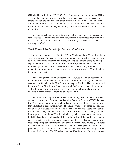CTRs had been filed for 1989-1992. A certified document stating that no CTRs were filed during this time was introduced into evidence. This was very important to forestall the defense claim that CTRs in fact were filed. The DDA further said the one-month trial has ended with a conviction on three counts of violating the State of California's money laundering law, with the intent to commit California tax fraud.

 The DDA indicated, in preparing documents for sentencing, that because the case involved the laundering of \$3 million, it is the state's largest money laundering case to date. *(Source: Deputy District Attorney, Los Angeles District Attorney's Office)*

#### Stock Fraud Cheats Elderly Out of \$100 Million

 Indictments announced on July 8, 1999, in Manhattan, New York allege that a stock broker from Naples, Florida and other defendants bilked investors by lying to them, performing unauthorized trades, ignoring sell orders, engaging in forgery, and committing outright theft. Some investors, mostly elderly, were persuaded to get as much cash as possible from their credit cards, or withdraw money from retirement accounts, to invest with the stock broker. Virtually all of that money was lost.

 The brokerage firm, which was started in 1994, was created to steal money from investors. At its peak, it had more than 300 brokers and 50,000 customer accounts at offices in Iselin, New Jersey and Naples, Florida. The defendants, all from New York, New Jersey, Connecticut, and Florida, were charged variously with enterprise corruption, grand larceny, scheme to defraud, falsification of business records, money laundering, and related crimes.

 The District Attorney's Office of New York County, Manhattan Office, conducted a review of the Currency and Banking Retrieval System (CBRS) database for BSA reports relating to the stock broker and members of his brokerage firm they identified in their investigation. The review was accomplished through the use of FinCEN's Gateway System. The reports included two Suspicious Activity Reports, 97 CTRs, and nine Currency Transaction Reports by Casino (CTRCs). Investigators reported that BSA data obtained provided information about the individuals and the entities and their inter-relationship. It helped identify and/or confirm identities of those under investigation and provided some specific information regarding bank transactions and account information. Investigators noted that BSA data identified over 12 bank accounts for the subjects that were not previously known. Of those account holders, about five were eventually charged in felony indictments. The BSA data also identified important financial transac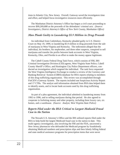tions in Atlantic City, New Jersey. Overall, Gateway saved the investigators time and effort, and helped focus investigative resources more efficiently.

 The Manhattan District Attorney's Office has begun a civil court proceeding to recover \$99,269,688 as the proceeds of the defendants' criminal acts. *(Source: Investigators, District Attorney's Office of New York County, Manhattan Office)*

#### Man Pleads Guilty to Laundering \$5.9 Million in Drug Proceeds

 An individual from Catlettsbury, Kentucky pleaded guilty in U.S. District Court on May 19, 1999, to laundering \$5.9 million in drug proceeds from the sale of marijuana in West Virginia and Kentucky. The indictment alleged that the individual, his brothers, his stepbrother, and three other suspects, conspired to sell marijuana and transfer the profits between bank accounts in West Virginia, Kentucky, Ohio, and Florida in an effort to make the money appear legitimate.

 The Cabell County Federal Drug Task Force, which consists of FBI, IRS Criminal Investigation Division (CID) agents, West Virginia State Police, Cabell County Sheriff's Office, and Huntington City Police Department officers, conducted an investigation which targeted the individual. The task force requested the West Virginia Intelligence Exchange to conduct a review of the Currency and Banking Retrieval System (CBRS) database for BSA reports relating to members of this drug trafficking organization. This review was accomplished through FinCEN's Gateway System. The reports included one Suspicious Activity Report and 17 CTRs. The analyst said information obtained from BSA data helped them to identify assets, and to locate bank accounts used by this drug trafficking organization.

 As part of a plea agreement, the individual admitted to laundering money from 1992 to 1996, and to selling marijuana during that period. He also agreed to cooperate in forfeiting money and other property, including three luxury cars, six homes, and a warehouse. *(Source: Analyst, West Virginia State Police)*

#### Reports Filed under the BSA Critical to Largest Medicaid Fraud Case in the Nation

 The Newark U.S. Attorney's Office and the IRS utilized reports filed under the BSA to help build the largest Medicaid fraud case in the nation to date. This multi-agency investigation, also involving the FBI and the FDA, uncovered a New Jersey pharmacist who defrauded the Medicaid program by fraudulently obtaining Medicaid numbers and prescription slips and then falsely billing federal and state medical assistance programs for prescription items that were never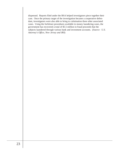dispensed. Reports filed under the BSA helped investigators piece together their case. Once the primary target of the investigation became a cooperative defendant, investigators were also able to bring to culmination three other associated cases. Using the forfeiture procedures available in money laundering cases, the government has recovered a total of \$5.5 million in fraud proceeds that the subjects laundered through various bank and investment accounts. (*Source: U.S. Attorney's Office, New Jersey and IRS*)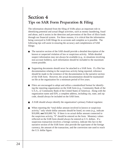## Section 4 Tips on SAR Form Preparation & Filing

The information obtained from the filing of SARs plays an important role in identifying potential and actual illegal activities, such as money laundering, fraud and abuse, and it assists in the detection and prevention of the flow of illicit funds through our financial system. For these reasons, it is critical that the information being conveyed in SAR filings be as accurate and complete as is possible. The following tips will assist in ensuring the accuracy and completeness of SAR filings:

- The narrative section of the SAR should provide a detailed description of the known or suspected violation of law or suspicious activity. While detailed suspect information may not always be available (*e.g.,* in situations involving non-account holders), such information should be included to the maximum extent possible.
- Supporting documents should *never* be attached to a SAR form. If a filer has **The State** documentation relating to the suspicious activity being reported, reference should be made to the existence of the documentation in the narrative section of the SAR form. However, the actual documentation should be maintained on file at the organization for a minimum period of five years.
- Filers are encouraged to adopt and utilize a *standardized* format for identifying the reporting organization on the SAR form (*e.g.*, Community Bank of the U.S.A., or Community Bank of the United States of America). Along with the organization name and EIN, a complete address, including city, state, and zip code, should always be included on the SAR form.
- A SAR should *always* identify the organization's primary Federal regulator.
- When reporting the "total dollar amount involved in known or suspicious activity," only whole dollar amounts should be listed, no cents (*e.g.*, indicate \$10,000, **not** \$10,000.74). If there is no actual dollar amount connected to the suspicious activity, "0" should be entered on the form. Monetary values reflected on the SAR form should always be entered as U.S. dollars. If a suspicious transaction involves a foreign currency, indicate this fact in the narrative section of the SAR form--also provide the type/name of the foreign currency, the amount of the transaction, and the conversion rate used to reach the U.S. dollar figure.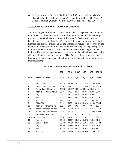■ SARs are *properly filed* with the IRS' Detroit Computing Center (DCC). Magnetically filed (disk) and paper SARs should be addressed to "FinCEN, Detroit Computing Center, P.O. Box 33980, Detroit, MI 48232-0908."

#### SAR Form Completion—National Overview

The following chart provides a statistical breakout of the percentage completion rate for each field on the SAR form for all SARs in the national database (approximately 400,000 records at time of this report). Each row of the chart is keyed to successive fields on the SAR form. Additional columns represent all financial institutions, grouped under the appropriate regulator as reported by the institution. Intersection of a row and column shows the percentage completion rate for the specific field for all financial institutions for each regulator, and indicates if the percentage completion rate varies statistically above (A) or below (B) the national average for that field. (The "Other" column represents SARs filed either by non-bank financial institutions or by banks that did not identify their regulator.)

|                 |                                  | <b>FRB</b>   | <b>FDIC</b> | <b>NCUA</b>  | <b>OCC</b>      | 0TS          | <b>OTHER</b> |
|-----------------|----------------------------------|--------------|-------------|--------------|-----------------|--------------|--------------|
| <b>Field</b>    | <b>Number of Filings</b>         | 18,064       | 21,352      | 3,948        | 78,108          | 16,363       | 258,582      |
| 1               | Report Type                      | 93.62A       | 93.11A      | 96.22A       | 92.41A          | 91.70A       | 7.00B        |
| $\overline{2}$  | Name of Financial Institution    | 98.64        | 98.45       | 97.24        | 99.49A          | 99.29        | 98.17B       |
| 3               | Primary Federal Regulator        | 100.00A      | 100.00A     |              | 100.00A 100.00A | 100.00A .00B |              |
| 4               | Address of Financial Institution | 99.96        | 99.98       | 99.86        | 99.98           | 99.99        | 99.86        |
| 5               | City                             | 99.97        | 99.99       | 99.92        | 99.99           | 99.99        | 99.87        |
| 6               | <b>State</b>                     | 99.88        | 99.95       | 99.86        | 99.99           | 99.97        | 99.76        |
| 7               | Zip Code                         | 99.81        | 99.86       | 99.76        | 99.97           | 99.96        | 99.72        |
| 8               | EIN or TIN                       | 94.62        | 95.81       | 80.50B       | 98.02A          | 98.15A       | 92.89B       |
| 10              | Address of Branch Office(s)      | 100          | 100         | 100          | 100             | 100          | 100          |
| 15a             | Account Number(s) Affected       | 76.26B       | 81.51A      | 81.97A       | 83.19A          | 86.74A       | 72.24B       |
| 15 <sub>b</sub> | Account Number(s) Affected       | 9.26B        | 13.70A      | 11.65        | 11.2            | 12.39A       | 10.00B       |
| 16              | Related Accounts Closed?         | $\mathbf{0}$ | 0           | $\mathbf{0}$ | $\mathbf{0}$    | $\mathbf{0}$ | 0            |
| 17,18,19        | Suspect Name                     | 98.74        | 99.37       | 98.74        | 99.59           | 99.7         | 99.33        |
| 20              | Address                          | 86.43B       | 93.32A      | 95.24A       | 89.07B          | 97.04A       | 91.18        |
| 21              | SSN, EIN, or TIN                 | 65.76B       | 79.71A      | 85.99A       | 71.35A          | 78.04A       | 67.39B       |
| 22              | City                             | 88.10B       | 93.46A      | 95.09A       | 89.29B          | 97.05A       | 91.26        |
| 23              | <b>State</b>                     | 84.88B       | 91.31A      | 94.37A       | 86.92B          | 92.94A       | 88.32        |
| 24              | Zip Code                         | 80.06B       | 89.24A      | 93.50A       | 84.63B          | 92.16A       | 85.82        |
|                 |                                  |              |             |              |                 |              |              |

#### **SAR Form Completion Rate—National Database**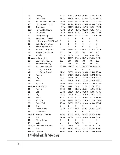| 25                                                                                               | Country                           | 63.68A           | 46.85B         | 28.03B           | 60.20A                        | 62.72A 42.14B    |                  |
|--------------------------------------------------------------------------------------------------|-----------------------------------|------------------|----------------|------------------|-------------------------------|------------------|------------------|
| 26                                                                                               | Date of Birth                     | 55.81            | 62.42A         | 88.29A           | 52.20B                        | 71.13A           | 55.11B           |
| 27                                                                                               | Phone Number - Residence          | 53.34B           | 62.43A         | 85.45A           | 46.79B                        | 73.11A           | 56.75A           |
| 28                                                                                               | Phone Number - Work               | 33.08B           | 43.82A         | 42.80A           | 39.06A                        | 46.93A           | 35.07B           |
| 29                                                                                               | Occupation                        | 49.77A           | 66.00A         | 59.64A           | 41.79B                        | 46.25            | 44.97B           |
| $30a-d$                                                                                          | Forms of Identification           | 42.20B           | 58.47A         | 71.61A           | 39.18B                        | 66.31A           | 47.54A           |
| 30 <sub>e</sub>                                                                                  | <b>IDN Number</b>                 | 34.47B           | 49.86A         | 52.84A           | 34.06B                        | 61.23A 39.25B    |                  |
| 30f                                                                                              | <b>Issuing Authority</b>          | 31.23B           | 44.81A         | 41.79A           | 31.10B                        | 57.77A           | 34.89B           |
| 31                                                                                               | Relationship to Fin Inst          | 0                | 0              | $\boldsymbol{0}$ | $\boldsymbol{0}$              | $\boldsymbol{0}$ | 0                |
| 32                                                                                               | Insider Suspect Still Affiliated? | $\boldsymbol{0}$ | 0              | $\mathbf 0$      | $\boldsymbol{0}$              | 0                | 0                |
| 33                                                                                               | Date: Susp/Term/Resign            | $\mathbf{0}$     | 0              | 0                | $\boldsymbol{0}$              | 0                | 0                |
| 34                                                                                               | Admission/Confession              | $\mathbf{0}$     | 0              | $\mathbf 0$      | $\mathbf 0$                   | $\mathbf 0$      | 0                |
| 35                                                                                               | Suspicious Activity Date          | 90.96B           | 90.54B         | 87.74B           | 96.84A                        | 97.81A           | 93.34B           |
| 36                                                                                               | Violation Dollar Amount           | 100              | 100            | 100              | 100                           | 100              | 100              |
| $37a-r$                                                                                          | Violation                         | 83.12B           | 98.10A         | 95.98            | 97.96A                        | 96.95            | 96.09            |
|                                                                                                  | 37r-desc Violation (Other)        | 97.37A           | 98.23A         | 97.39A           | 95.78A                        | 97.33A           | 5.37B            |
| 38                                                                                               | Loss Prior to Recovery            | 100              | 100            | 100              | 100                           | 100              | 100              |
| 39                                                                                               | Amount of Recovery                | 100              | 100            | 100              | 100                           | 100              | 100              |
| 40                                                                                               | Soundness Affected?               | 100.00A          | 100.00A        |                  | 100.00A 100.00A 100.00A 7.51B |                  |                  |
| 41                                                                                               | Bonding Co. Notified?             | 0                | 0              | $\mathbf 0$      | 0                             | $\mathbf 0$      | $\boldsymbol{0}$ |
| 42                                                                                               | Law Enforce Referral              | 17.78            | 23.59A         | 33.40A           | 13.95B                        | 15.43B           | 20.54A           |
| 43                                                                                               | Address                           | 13.59            | 17.85A         | 25.80A           | 10.46B                        | 12.97B           | 15.96A           |
| 44                                                                                               | City                              | 15.5             | 19.81A         | 28.43A           | 12.12B                        | 13.87B           | 17.74A           |
| 45                                                                                               | <b>State</b>                      | 15.44            | 19.81A         | 28.03A           | 12.13B                        | 13.94B           | 17.61A           |
| 46                                                                                               | Zip Code                          | 13.76B           | 18.53A         | 25.61A           | 10.81B                        | 13.16B           | 16.79A           |
| 47,48,49                                                                                         | Witness Name                      | 98.64            | 99.22          | 98.56            | 99.13                         | 99.13            | 98.72            |
| 50                                                                                               | Address                           | 80.35B           | 88.6           | 92.56A           | 88.58                         | 96.29A 89.68A    |                  |
| 51                                                                                               | <b>SSN</b>                        | 39.48B           | 58.89A         | 75.00A           | 36.84B                        | 51.93A           | 47.60A           |
| 52                                                                                               | City                              | 85.74            | 90.41A         | 91.72A           | 78.81B                        | 94.81A 87.83A    |                  |
| 53                                                                                               | <b>State</b>                      | 89.69A           | 91.31A         | 91.30A           | 76.99B                        | 94.74A 87.25A    |                  |
| 54                                                                                               | Zip Code                          | 76.26B           | 85.82A         | 90.19A           | 73.01B                        | 93.24A 84.09A    |                  |
| 55                                                                                               | Date of Birth                     | 29.18A           | 39.08A         | 55.73A           | 23.80A                        | 34.84A 10.76B    |                  |
| 56                                                                                               | <b>Title</b>                      | $\mathbf{0}$     | 0              | $\mathbf{0}$     | $\mathbf{0}$                  | 0                | 0                |
| 57                                                                                               | Phone Number                      | 69.43B           | 86.57B         | 89.35            | 91.94A                        | 90.97A 89.55A    |                  |
| 58                                                                                               | Interviewed?                      | $\mathbf{0}$     | 0              | 0                | 0                             | 0                | $\boldsymbol{0}$ |
| 59,60,61                                                                                         | Preparer Information              | 98.26A           | 97.20A         | 95.90A           | 98.83A                        | 98.87A 7.20B     |                  |
| 62                                                                                               | <b>Title</b>                      | 97.68A           | 96.89A         | 93.91A           | 98.65A                        | 98.53A 6.97B     |                  |
| 63                                                                                               | Phone Number                      | 0                | 0              | $\mathbf{0}$     | $\mathbf{0}$                  | 0                | 0                |
| 64                                                                                               | Date                              | 0                | $\overline{0}$ | 0.02             | 0                             | 0                | 0                |
|                                                                                                  | 65,66,67 Contact for Assistance   | 67.04A           | 60.45A         | 42.92A           | 43.89A                        | 58.60A 3.81B     |                  |
| 68                                                                                               | <b>Title</b>                      | 66.40A           | 59.13A         | 40.14A           | 43.45A                        | 58.30A 3.75B     |                  |
| Part VII                                                                                         | Narrative                         | 97.60A           | 94.69          | 76.33B           | 98.23A                        | 99.05A 93.08B    |                  |
| $A =$ Statistically above the national average<br>$B =$ Statistically below the national average |                                   |                  |                |                  |                               |                  |                  |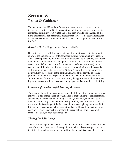## Section 5 Issues & Guidance

This section of the *SAR Activity Review* discusses current issues of common interest raised with regard to the preparation and filing of SARs. The discussion is intended to identify SAR-related issues and then provide explanations so that filing organizations can reasonably address these issues. This section represents the collective opinions of the government agencies that require organizations to file SARs.

#### Repeated SAR Filings on the Same Activity

One of the purposes of filing SARs is to identify violations or potential violations of law to the appropriate law enforcement authorities for criminal investigation. This is accomplished by the filing of a SAR that identifies the activity of concern. Should this activity continue over a period of time, it is useful for such information to be made known to law enforcement (and the bank supervisors). As a general rule of thumb, organizations should report continuing suspicious activity with a report being filed at least every 90 days. This will serve the purposes of notifying law enforcement of the continuing nature of the activity, as well as provide a reminder to the organization that it must continue to review the suspicious activity to determine if other actions may be appropriate, such as terminating its relationship with the customer or employee that is the subject of the filing.

#### Cessation of Relationship/Closure of Account

The closure of a customer account as the result of the identification of suspicious activity is a determination for an organization to make in light of the information available to the organization. A filing of a SAR, on its own, should not be the basis for terminating a customer relationship. Rather, a determination should be made with the knowledge of the facts and circumstances giving rise to the SAR filing, as well as other available information that could tend to impact on such a decision. It may be advisable to include the organization's counsel, as well as other senior staff, in such determinations.

#### Timing for SAR filings

The SAR rules require that a SAR be filed no later than 30 calendar days from the date of the initial detection of the suspicious activity, unless no suspect can be identified, in which case, the time period for filing a SAR is extended to 60 days.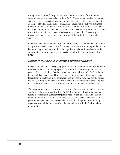It may be appropriate for organizations to conduct a review of the activity to determine whether a need exists to file a SAR. The fact that a review of customer activity or transactions is determined to be necessary is not necessarily indicative of the need to file a SAR, even if a reasonable review of the activity or transactions might take an extended period of time. The time to file a SAR starts when the organization, in the course of its review or on account of other factors, reaches the position in which it knows, or has reason to suspect, that the activity or transactions under review meets one or more of the definitions of suspicious activity.

Of course, an expeditious review, wherever possible, is recommended and can be of significant assistance to law enforcement. In situations involving violations of law requiring immediate attention, the organization should immediately notify appropriate law enforcement and supervisory authorities, in addition to filing a SAR.

#### Disclosure of SARs and Underlying Suspicious Activity

Federal law  $(31 \text{ U.S.C. } 5318(g)(2))$  prohibits the notification of any person that is involved in the activity being reported on a SAR that the activity has been reported. This prohibition effectively precludes the disclosure of a SAR or the fact that a SAR has been filed. However, this prohibition does not preclude, under federal law, a disclosure in an appropriate manner of the facts that are the basis of the SAR, so long as the disclosure is not made in a way that indicates or implies that a SAR has been filed or that the information is included on a filed SAR.

The prohibition against disclosure can raise special issues when SAR records are sought by subpoena or court order. The SAR regulations direct organizations facing those issues to contact their primary supervisor, as well as FinCEN, to obtain guidance and direction on how to proceed. In several matters to date, government agencies have intervened to ensure that the protection for filing organizations and the integrity of the data contained within the SAR database remain intact.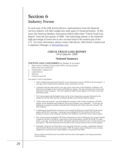## Section 6 Industry Forum

In each issue of the *SAR Activity Review*, representatives from the financial services industry will offer insight into some aspect of fraud prevention. In this issue, the American Bankers Association (ABA) offers their "Check Fraud Loss Report" from the first quarter of 2000. One interesting statistic is the relatively high percentage of losses due to new account fraud in the western part of the U.S. For more information, please contact John Byrne, ABA Senior Counsel and Compliance Manager, at jbyrne@aba.com.

#### *CHECK FRAUD LOSS REPORT First Quarter 2000*

#### **National Summary**

#### **TOP FIVE LOSS CATEGORIES** (by Number of Accounts)

- Return losses excluding closed accounts, NSFs, and stop payment (other return loss reasons) (1)\*
- 2. Forged maker's signature (3)
- 3. Counterfeit (2)
- 4. NSFs (4)
- 5. Closed accounts (6)

Last quarter's rank in parentheses.

- Check-related losses decreased from \$1.12 per transaction account to \$0.94 in the first quarter. A year ago, check-related losses totaled \$1.26 per transaction account.
- Compared with the same period a year ago, losses were lower in the Northeast, Southeast, and West, but were higher in the Central and Southwest regions. By type of fraud, lower losses were reported for most categories. The most significant improvement appears to be losses associated with return items.
- The Central region had the highest losses (at \$1.41 per transaction account), followed by the Southwest (\$1.18), West (\$1.02), Southeast (\$0.90), and Northeast (\$0.65) regions.
- "Other return loss reasons" was the leading loss category in the Central, Southwest, and West regions. In the Northeast and Southeast, the top loss category was counterfeit. A year ago, the leading loss categories included counterfeit (the Northeast) and "other return loss reasons" (all other regions).
- Combining all classifications, losses per case averaged \$1,838, down from \$2,007 in the fourth quarter and \$1,972 a year ago. Losses per case averaged \$1,307 in the West, \$1,649 in the Southwest, \$2,425 in the Southeast, \$3,028 in the Northeast, and \$3,185 in the Central region.
- New account losses amounted to \$0.19 per transaction account or \$6.04 per new account opened, compared with \$0.31 and \$8.01, respectively in the fourth quarter, and \$0.38 and \$8.70, respectively, a year ago. Except for the West, all regions reported a decrease in new account losses in the first quarter. The West experienced an increase in new account losses per new account opened.
- Nationally, 20 percent of fraud losses were associated with new accounts, a substantial improvement from the 30 percent in the first quarter 1999. By region, losses attributed to new accounts ranged from 7 percent in the Central region to 25 percent in the West.

Survey results reveal that losses associated with true name fraud appear to be rising, particularly in the Northeast.